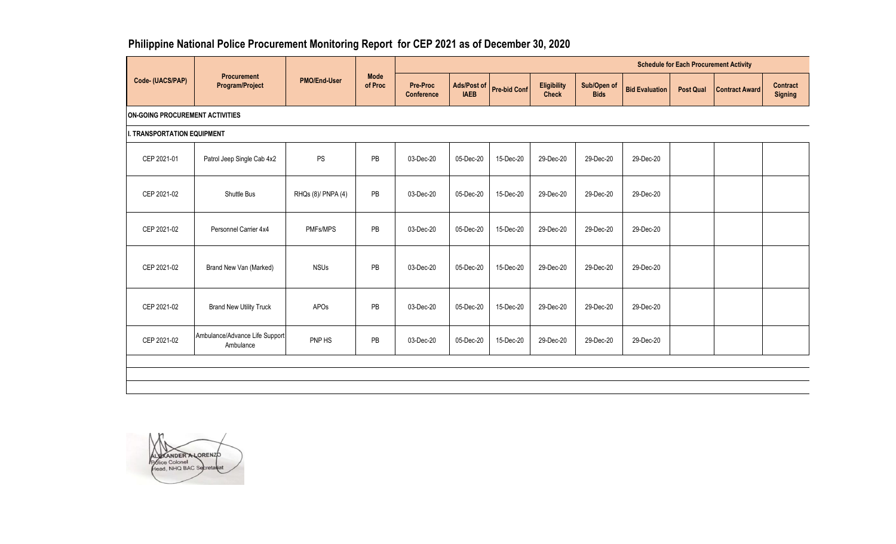## **Philippine National Police Procurement Monitoring Report for CEP 2021 as of December 30, 2020**

|                                        |                                              |                     |                        | <b>Schedule for Each Procurement Activity</b> |                            |                     |                                    |                            |                       |                  |                       |                                   |  |  |
|----------------------------------------|----------------------------------------------|---------------------|------------------------|-----------------------------------------------|----------------------------|---------------------|------------------------------------|----------------------------|-----------------------|------------------|-----------------------|-----------------------------------|--|--|
| Code- (UACS/PAP)                       | <b>Procurement</b><br><b>Program/Project</b> | <b>PMO/End-User</b> | <b>Mode</b><br>of Proc | <b>Pre-Proc</b><br><b>Conference</b>          | Ads/Post of<br><b>IAEB</b> | <b>Pre-bid Conf</b> | <b>Eligibility</b><br><b>Check</b> | Sub/Open of<br><b>Bids</b> | <b>Bid Evaluation</b> | <b>Post Qual</b> | <b>Contract Award</b> | <b>Contract</b><br><b>Signing</b> |  |  |
| <b>ON-GOING PROCUREMENT ACTIVITIES</b> |                                              |                     |                        |                                               |                            |                     |                                    |                            |                       |                  |                       |                                   |  |  |
| <b>I. TRANSPORTATION EQUIPMENT</b>     |                                              |                     |                        |                                               |                            |                     |                                    |                            |                       |                  |                       |                                   |  |  |
| CEP 2021-01                            | Patrol Jeep Single Cab 4x2                   | <b>PS</b>           | PB                     | 03-Dec-20                                     | 05-Dec-20                  | 15-Dec-20           | 29-Dec-20                          | 29-Dec-20                  | 29-Dec-20             |                  |                       |                                   |  |  |
| CEP 2021-02                            | Shuttle Bus                                  | RHQs (8)/ PNPA (4)  | PB                     | 03-Dec-20                                     | 05-Dec-20                  | 15-Dec-20           | 29-Dec-20                          | 29-Dec-20                  | 29-Dec-20             |                  |                       |                                   |  |  |
| CEP 2021-02                            | Personnel Carrier 4x4                        | PMFs/MPS            | PB                     | 03-Dec-20                                     | 05-Dec-20                  | 15-Dec-20           | 29-Dec-20                          | 29-Dec-20                  | 29-Dec-20             |                  |                       |                                   |  |  |
| CEP 2021-02                            | Brand New Van (Marked)                       | <b>NSUs</b>         | PB                     | 03-Dec-20                                     | 05-Dec-20                  | 15-Dec-20           | 29-Dec-20                          | 29-Dec-20                  | 29-Dec-20             |                  |                       |                                   |  |  |
| CEP 2021-02                            | <b>Brand New Utility Truck</b>               | APOs                | PB                     | 03-Dec-20                                     | 05-Dec-20                  | 15-Dec-20           | 29-Dec-20                          | 29-Dec-20                  | 29-Dec-20             |                  |                       |                                   |  |  |
| CEP 2021-02                            | Ambulance/Advance Life Support<br>Ambulance  | PNP HS              | PB                     | 03-Dec-20                                     | 05-Dec-20                  | 15-Dec-20           | 29-Dec-20                          | 29-Dec-20                  | 29-Dec-20             |                  |                       |                                   |  |  |
|                                        |                                              |                     |                        |                                               |                            |                     |                                    |                            |                       |                  |                       |                                   |  |  |
|                                        |                                              |                     |                        |                                               |                            |                     |                                    |                            |                       |                  |                       |                                   |  |  |

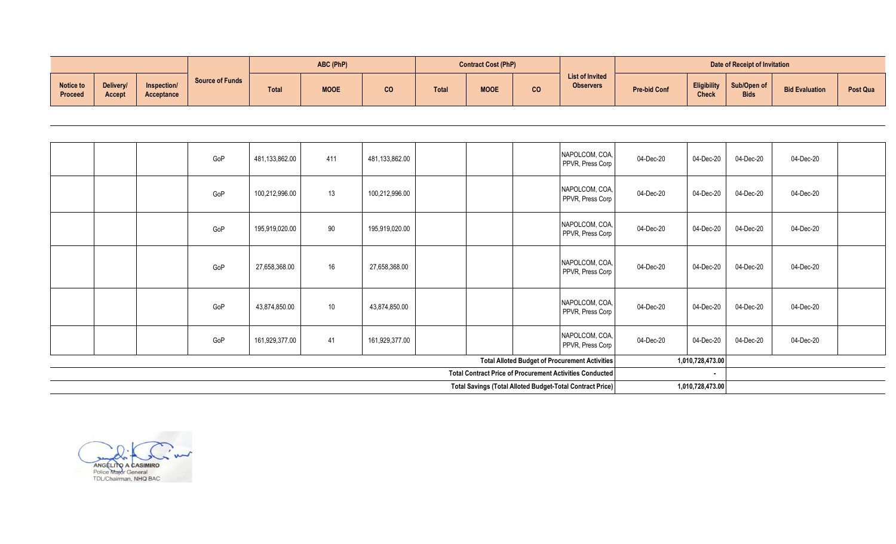|                             |                            |                                  | ABC (PhP)              |       |             | <b>Contract Cost (PhP)</b> |       |             | Date of Receipt of Invitation |                                            |                     |                                    |                            |                       |          |
|-----------------------------|----------------------------|----------------------------------|------------------------|-------|-------------|----------------------------|-------|-------------|-------------------------------|--------------------------------------------|---------------------|------------------------------------|----------------------------|-----------------------|----------|
| Notice to<br><b>Proceed</b> | Delivery/<br><b>Accept</b> | Inspection/<br><b>Acceptance</b> | <b>Source of Funds</b> | Total | <b>MOOE</b> | CO                         | Total | <b>MOOE</b> | CO <sub>2</sub>               | <b>List of Invited</b><br><b>Observers</b> | <b>Pre-bid Conf</b> | <b>Eligibility</b><br><b>Check</b> | Sub/Open of<br><b>Bids</b> | <b>Bid Evaluation</b> | Post Qua |

| 04-Dec-20 | 04-Dec-20 | 04-Dec-20        | 04-Dec-20 | NAPOLCOM, COA,<br>PPVR, Press Corp |                                                                 | 481,133,862.00 | 411 | 481,133,862.00 | GoP |  |  |
|-----------|-----------|------------------|-----------|------------------------------------|-----------------------------------------------------------------|----------------|-----|----------------|-----|--|--|
| 04-Dec-20 | 04-Dec-20 | 04-Dec-20        | 04-Dec-20 | NAPOLCOM, COA,<br>PPVR, Press Corp |                                                                 | 100,212,996.00 | 13  | 100,212,996.00 | GoP |  |  |
| 04-Dec-20 | 04-Dec-20 | 04-Dec-20        | 04-Dec-20 | NAPOLCOM, COA,<br>PPVR, Press Corp |                                                                 | 195,919,020.00 | 90  | 195,919,020.00 | GoP |  |  |
| 04-Dec-20 | 04-Dec-20 | 04-Dec-20        | 04-Dec-20 | NAPOLCOM, COA,<br>PPVR, Press Corp |                                                                 | 27,658,368.00  | 16  | 27,658,368.00  | GoP |  |  |
| 04-Dec-20 | 04-Dec-20 | 04-Dec-20        | 04-Dec-20 | NAPOLCOM, COA,<br>PPVR, Press Corp |                                                                 | 43,874,850.00  | 10  | 43,874,850.00  | GoP |  |  |
| 04-Dec-20 | 04-Dec-20 | 04-Dec-20        | 04-Dec-20 | NAPOLCOM, COA,<br>PPVR, Press Corp |                                                                 | 161,929,377.00 | 41  | 161,929,377.00 | GoP |  |  |
|           |           | 1,010,728,473.00 |           |                                    | Total Alloted Budget of Procurement Activities                  |                |     |                |     |  |  |
|           |           | $\sim$           |           |                                    | <b>Total Contract Price of Procurement Activities Conducted</b> |                |     |                |     |  |  |
|           |           | 1,010,728,473.00 |           |                                    | Total Savings (Total Alloted Budget-Total Contract Price)       |                |     |                |     |  |  |